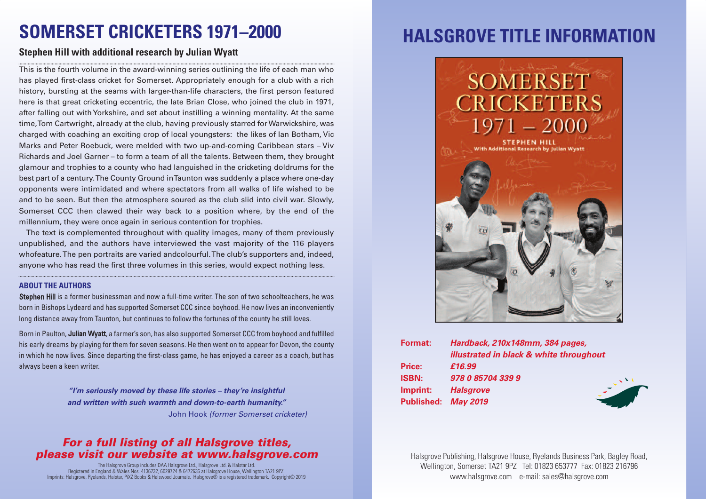## **SOMERSET CRICKETERS 1971–2000**

### **Stephen Hill with additional research by Julian Wyatt**

This is the fourth volume in the award-winning series outlining the life of each man who has played first-class cricket for Somerset. Appropriately enough for a club with a rich history, bursting at the seams with larger-than-life characters, the first person featured here is that great cricketing eccentric, the late Brian Close, who joined the club in 1971, after falling out withYorkshire, and set about instilling a winning mentality. At the same time,Tom Cartwright, already at the club, having previously starred forWarwickshire, was charged with coaching an exciting crop of local youngsters: the likes of Ian Botham, Vic Marks and Peter Roebuck, were melded with two up-and-coming Caribbean stars – Viv Richards and Joel Garner – to form a team of all the talents. Between them, they brought glamour and trophies to a county who had languished in the cricketing doldrums for the best part of a century.The County Ground inTaunton was suddenly a place where one-day opponents were intimidated and where spectators from all walks of life wished to be and to be seen. But then the atmosphere soured as the club slid into civil war. Slowly, Somerset CCC then clawed their way back to a position where, by the end of the millennium, they were once again in serious contention for trophies.

The text is complemented throughout with quality images, many of them previously unpublished, and the authors have interviewed the vast majority of the 116 players whofeature.The pen portraits are varied andcolourful.The club's supporters and, indeed, anyone who has read the first three volumes in this series, would expect nothing less.

#### **ABOUT THE AUTHORS**

Stephen Hill is a former businessman and now a full-time writer. The son of two schoolteachers, he was born in Bishops Lydeard and has supported Somerset CCC since boyhood. He now lives an inconveniently long distance away from Taunton, but continues to follow the fortunes of the county he still loves.

Born in Paulton, Julian Wyatt, a farmer's son, has also supported Somerset CCC from boyhood and fulfilled his early dreams by playing for them for seven seasons. He then went on to appear for Devon, the county in which he now lives. Since departing the first-class game, he has enjoyed a career as a coach, but has always been a keen writer.

> *"I'm seriously moved by these life stories – they're insightful and written with such warmth and down-to-earth humanity."* John Hook *(former Somerset cricketer)*

### *For a full listing of all Halsgrove titles, please visit our website at www.halsgrove.com*

The Halsgrove Group includes DAA Halsgrove Ltd., Halsgrove Ltd. & Halstar Ltd. Registered in England & Wales Nos. 4136732, 6029724 & 6472636 at Halsgrove House, Wellington TA21 9PZ. Imprints: Halsgrove, Ryelands, Halstar, PiXZ Books & Halswood Journals. Halsgrove® is a registered trademark. Copyright© 2019

### **HALSGROVE TITLE INFORMATION**



| <b>Format:</b>      | Hardback, 210x148mm, 384 pages,         |
|---------------------|-----------------------------------------|
|                     | illustrated in black & white throughout |
| Price:              | £16.99                                  |
| <b>ISBN:</b>        | 978 0 85704 339 9                       |
| Imprint:            | <b>Halsgrove</b>                        |
| Published: May 2019 |                                         |
|                     |                                         |

Halsgrove Publishing, Halsgrove House, Ryelands Business Park, Bagley Road, Wellington, Somerset TA21 9PZ Tel: 01823 653777 Fax: 01823 216796 www.halsgrove.com e-mail: sales@halsgrove.com